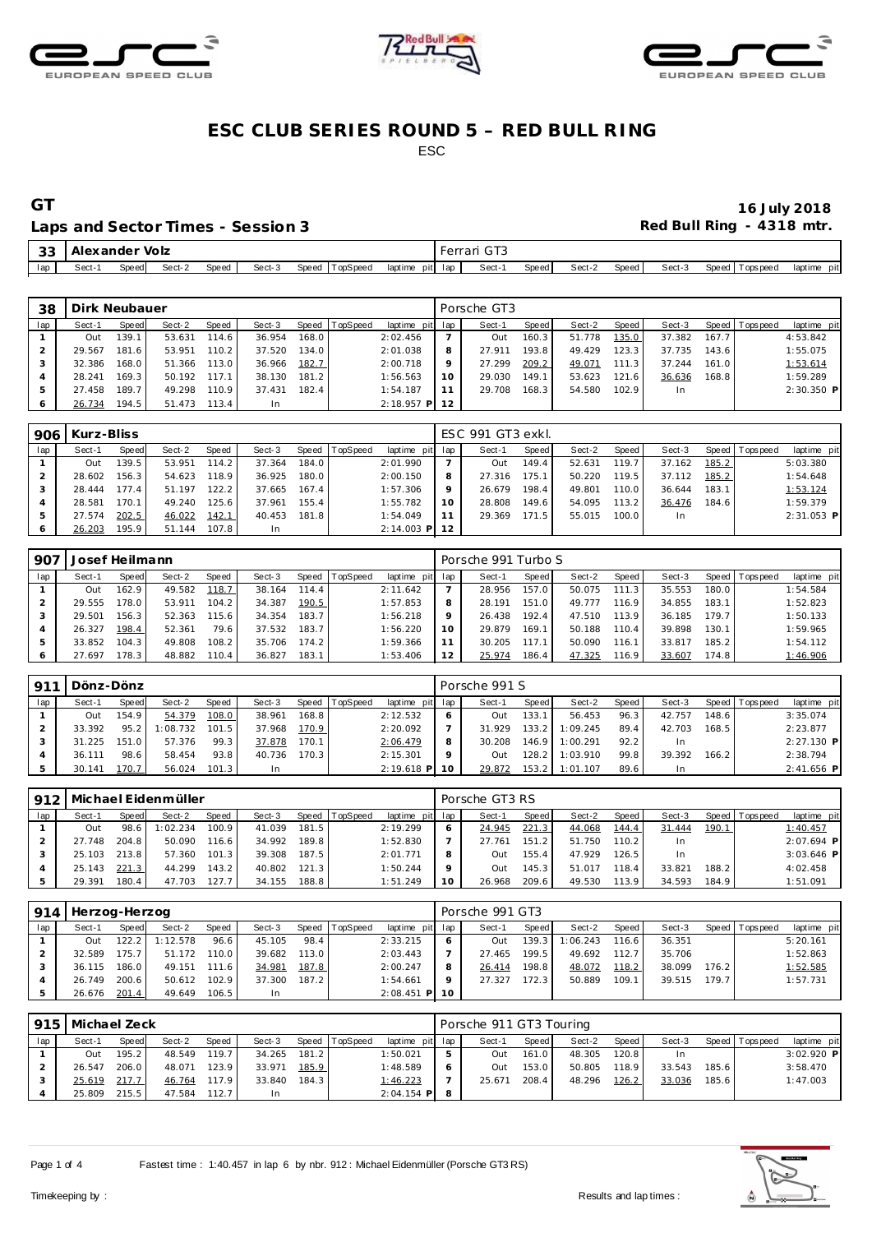





### Laps and Sector Times - Session 3 **Red Bull Ring - 4318 mtr.** And Sector Times - Session 3

| 33  | : Alexander |        | Volz   |              |        |                   |                    | Ferrari |       |       |        |       |        |                   |                |
|-----|-------------|--------|--------|--------------|--------|-------------------|--------------------|---------|-------|-------|--------|-------|--------|-------------------|----------------|
| lap | Sect-1      | Speedl | Sect-2 | <b>Speed</b> | Sect-3 | Speed<br>TopSpeed | pit lap<br>laptime |         | Sect- | Speed | Sect-2 | Speed | Sect-3 | Speed   Tops peed | pit<br>laptime |

| 38  | Dirk Neubauer<br>Speed TopSpeed<br>Sect-2<br>Sect-3<br>Speed<br>Sect-1<br>Speed<br>139.1<br>168.0<br>114.6<br>36.954<br>53.631<br>Out<br>110.2<br>181.6<br>134.0<br>37.520<br>29.567<br>53.951 |       |        |       |        |       |  |                 |    | Porsche GT3 |       |        |              |        |       |                |              |
|-----|------------------------------------------------------------------------------------------------------------------------------------------------------------------------------------------------|-------|--------|-------|--------|-------|--|-----------------|----|-------------|-------|--------|--------------|--------|-------|----------------|--------------|
| lap |                                                                                                                                                                                                |       |        |       |        |       |  | laptime pit lap |    | Sect-1      | Speed | Sect-2 | Speed        | Sect-3 |       | Speed Topspeed | laptime pit  |
|     |                                                                                                                                                                                                |       |        |       |        |       |  | 2:02.456        |    | Out         | 160.3 | 51.778 | 135.0        | 37.382 | 167.7 |                | 4:53.842     |
|     |                                                                                                                                                                                                |       |        |       |        |       |  | 2:01.038        | 8  | 27.911      | 193.8 | 49.429 | 123.3        | 37.735 | 143.6 |                | 1:55.075     |
| 3   | 32.386                                                                                                                                                                                         | 168.0 | 51.366 | 113.0 | 36.966 | 182.7 |  | 2:00.718        | 9  | 27.299      | 209.2 | 49.071 | 111.3        | 37.244 | 161.0 |                | 1:53.614     |
|     | 28.241                                                                                                                                                                                         | 169.3 | 50.192 | 117.1 | 38.130 | 181.2 |  | 1:56.563        | 10 | 29.030      | 149.1 | 53.623 | 121<br>$6 -$ | 36.636 | 168.8 |                | 1:59.289     |
| 5   | 27.458                                                                                                                                                                                         | 189.7 | 49.298 | 110.9 | 37.431 | 182.4 |  | 1:54.187        | 11 | 29.708      | 168.3 | 54.580 | 102.9        | In.    |       |                | $2:30.350$ P |
| 6   | 26.734                                                                                                                                                                                         | 194.5 | 51.473 | 113.4 | In     |       |  | $2:18.957$ P 12 |    |             |       |        |              |        |       |                |              |

| 906 | Kurz-Bliss |        |        |              |        |       |                 |                 |         | ESC 991 GT3 exkl. |       |        |       |        |       |                |              |
|-----|------------|--------|--------|--------------|--------|-------|-----------------|-----------------|---------|-------------------|-------|--------|-------|--------|-------|----------------|--------------|
| lap | Sect-1     | Speed  | Sect-2 | <b>Speed</b> | Sect-3 | Speed | <b>TopSpeed</b> | laptime pit lap |         | Sect-1            | Speed | Sect-2 | Speed | Sect-3 |       | Speed Topspeed | laptime pit  |
|     | Out        | 139.5  | 53.951 | 114.2        | 37.364 | 184.0 |                 | 2:01.990        |         | Out               | 149.4 | 52.631 | 119.7 | 37.162 | 185.2 |                | 5:03.380     |
|     | 28.602     | 156.3  | 54.623 | 118.9        | 36.925 | 180.0 |                 | 2:00.150        | 8       | 27.316            | 175.1 | 50.220 | 119.5 | 37.112 | 185.2 |                | 1:54.648     |
|     | 28.444     | 177.41 | 51.197 | 122.2        | 37.665 | 167.4 |                 | 1:57.306        | $\circ$ | 26.679            | 198.4 | 49.801 | 110.0 | 36.644 | 183.1 |                | 1:53.124     |
|     | 28.581     | 170.1  | 49.240 | 125.61       | 37.961 | 155.4 |                 | 1:55.782        |         | 28.808            | 149.6 | 54.095 | 113.2 | 36.476 | 184.6 |                | 1:59.379     |
|     | 27.574     | 202.5  | 46.022 | 142.1        | 40.453 | 181.8 |                 | 1:54.049        |         | 29.369            | 171.5 | 55.015 | 100.0 | In     |       |                | $2:31.053$ P |
|     | 26.203     | 195.9  | 51.144 | 107.8        | -In    |       |                 | $2:14.003$ P    | 12      |                   |       |        |       |        |       |                |              |

| 907 | Josef Heilmann<br>Sect-2<br>Sect-1<br><b>TopSpeed</b><br>Speed<br>Sect-3<br>Speed T<br>Speed<br>118.7<br>162.9<br>49.582<br>38.164<br>114.4<br>Out<br>178.0<br>190.5<br>104.2<br>53.911<br>34.387<br>29.555 |       |        |       |        |       |  |                 |    | Porsche 991 Turbo S |       |        |       |        |       |                |             |
|-----|-------------------------------------------------------------------------------------------------------------------------------------------------------------------------------------------------------------|-------|--------|-------|--------|-------|--|-----------------|----|---------------------|-------|--------|-------|--------|-------|----------------|-------------|
| lap |                                                                                                                                                                                                             |       |        |       |        |       |  | laptime pit lap |    | Sect-1              | Speed | Sect-2 | Speed | Sect-3 |       | Speed Topspeed | laptime pit |
|     |                                                                                                                                                                                                             |       |        |       |        |       |  | 2:11.642        |    | 28.956              | 157.0 | 50.075 | 111.3 | 35.553 | 180.0 |                | 1:54.584    |
|     |                                                                                                                                                                                                             |       |        |       |        |       |  | 1:57.853        | 8  | 28.191              | 151.0 | 49.777 | 116.9 | 34.855 | 183.1 |                | 1:52.823    |
|     | 29.501                                                                                                                                                                                                      | 156.3 | 52.363 | 115.6 | 34.354 | 183.7 |  | 1:56.218        |    | 26.438              | 192.4 | 47.510 | 113.9 | 36.185 | 179.7 |                | 1:50.133    |
|     | 26.327                                                                                                                                                                                                      | 198.4 | 52.361 | 79.6  | 37.532 | 183.7 |  | 1:56.220        | 10 | 29.879              | 169.1 | 50.188 | 110.4 | 39.898 | 130.1 |                | 1:59.965    |
|     | 33.852                                                                                                                                                                                                      | 104.3 | 49.808 | 108.2 | 35.706 | 174.2 |  | 1:59.366        |    | 30.205              | 117.1 | 50.090 | 116.1 | 33.817 | 185.2 |                | 1:54.112    |
|     | 27.697                                                                                                                                                                                                      | 178.3 | 48.882 | 110.4 | 36.827 | 183.1 |  | 1:53.406        |    | 25.974              | 186.4 | 47.325 | 116.9 | 33.607 | 174.8 |                | 1:46.906    |

| 911 | Dönz-Dönz |       |          |              |        |       |          |                 | Porsche 991 S |        |          |       |        |       |                 |              |
|-----|-----------|-------|----------|--------------|--------|-------|----------|-----------------|---------------|--------|----------|-------|--------|-------|-----------------|--------------|
| lap | Sect-1    | Speed | Sect-2   | <b>Speed</b> | Sect-3 | Speed | TopSpeed | laptime pit lap | Sect-1        | Speed  | Sect-2   | Speed | Sect-3 |       | Speed Tops peed | laptime pit  |
|     | Out       | 154.9 | 54.379   | 108.0        | 38.961 | 168.8 |          | 2:12.532        | Out           | 133.1  | 56.453   | 96.3  | 42.757 | 148.6 |                 | 3:35.074     |
|     | 33.392    | 95.2  | 1:08.732 | 101.5        | 37.968 | 170.9 |          | 2:20.092        | 31.929        | 133.2  | 1:09.245 | 89.4  | 42.703 | 168.5 |                 | 2:23.877     |
|     | 31.225    | 151.0 | 57.376   | 99.3         | 37.878 | 170.1 |          | 2:06.479        | 30.208        | 146.91 | 1:00.291 | 92.2  | In     |       |                 | $2:27.130$ P |
|     | 36.111    | 98.6  | 58.454   | 93.8         | 40.736 | 170.3 |          | 2:15.301        | Out           | 128.2  | 1:03.910 | 99.8  | 39.392 | 166.2 |                 | 2:38.794     |
|     | 30.141    | 170.7 | 56.024   | 101.3        | -In    |       |          | $2:19.618$ P    | 29.872        | 153.2  | 1:01.107 | 89.6  | In     |       |                 | $2:41.656$ P |

| 912 |        |       | Michael Eidenmüller |       |        |       |          |                   | Porsche GT3 RS |       |        |       |        |       |                 |              |
|-----|--------|-------|---------------------|-------|--------|-------|----------|-------------------|----------------|-------|--------|-------|--------|-------|-----------------|--------------|
| lap | Sect-1 | Speed | Sect-2              | Speed | Sect-3 | Speed | TopSpeed | laptime pit lap l | Sect-1         | Speed | Sect-2 | Speed | Sect-3 |       | Speed Tops peed | laptime pit  |
|     | Out    | 98.6  | 1:02.234            | 100.9 | 41.039 | 181.5 |          | 2:19.299          | 24.945         | 221.3 | 44.068 | 144.4 | 31.444 | 190.1 |                 | 1:40.457     |
|     | 27.748 | 204.8 | 50.090              | 116.6 | 34.992 | 189.8 |          | 1:52.830          | 27.761         | 151.2 | 51.750 | 110.2 | In.    |       |                 | $2:07.694$ P |
|     | 25.103 | 213.8 | 57.360              | 101.3 | 39.308 | 187.5 |          | 2:01.771          | Out            | 155.4 | 47.929 | 126.5 | In.    |       |                 | $3:03.646$ P |
|     | 25.143 | 221.3 | 44.299              | 143.2 | 40.802 | 121.3 |          | 1:50.244          | Out            | 145.3 | 51.017 | 118.4 | 33.821 | 188.2 |                 | 4:02.458     |
|     | 29.391 | 180.4 | 47.703              | 127.7 | 34.155 | 188.8 |          | 1:51.249          | 26.968         | 209.6 | 49.530 | 113.9 | 34.593 | 184.9 |                 | 1:51.091     |

| 914 | Herzog-Herzog |       |          |       |        |       |                |                 |         | Porsche 991 GT3 |       |                |         |        |                    |                 |             |
|-----|---------------|-------|----------|-------|--------|-------|----------------|-----------------|---------|-----------------|-------|----------------|---------|--------|--------------------|-----------------|-------------|
| lap | Sect-1        | Speed | Sect-2   | Speed | Sect-3 |       | Speed TopSpeed | laptime pit lap |         | Sect-1          | Speed | Sect-2         | Speed I | Sect-3 |                    | Speed Tops peed | laptime pit |
|     | Out           | 122.2 | 1:12.578 | 96.6  | 45.105 | 98.4  |                | 2:33.215        | -6      | Out             |       | 139.3 1:06.243 | 116.6   | 36.351 |                    |                 | 5:20.161    |
|     | 32.589        | 175.7 | 51.172   | 110.0 | 39.682 | 113.0 |                | 2:03.443        |         | 27.465          | 199.5 | 49.692         | 112.7   | 35.706 |                    |                 | 1:52.863    |
|     | 36.115        | 186.0 | 49.151   | 111.6 | 34.981 | 187.8 |                | 2:00.247        | 8       | 26.414          | 198.8 | 48.072         | 118.2   | 38.099 | 176.2              |                 | 1:52.585    |
|     | 26.749        | 200.6 | 50.612   | 102.9 | 37.300 | 187.2 |                | 1:54.661        | $\circ$ | 27.327          | 172.3 | 50.889         | 109.1   | 39.515 | 179.7 <sup>1</sup> |                 | 1:57.731    |
|     | 26.676        | 201.4 | 49.649   | 106.5 | In     |       |                | $2:08.451$ P 10 |         |                 |       |                |         |        |                    |                 |             |

|     |        | 915   Michael Zeck<br>Speed TopSpeed<br>Speed<br>Sect-2<br>Speed<br>Sect-3<br>Sect-1<br>195.2<br>119.7<br>181.2<br>48.549<br>34.265<br><b>Out</b> |        |       |        |       |  |                 |  | Porsche 911 GT3 Touring |         |        |         |        |       |                 |              |
|-----|--------|---------------------------------------------------------------------------------------------------------------------------------------------------|--------|-------|--------|-------|--|-----------------|--|-------------------------|---------|--------|---------|--------|-------|-----------------|--------------|
| lap |        |                                                                                                                                                   |        |       |        |       |  | laptime pit lap |  | Sect-1                  | Speed I | Sect-2 | Speed I | Sect-3 |       | Speed Tops peed | laptime pit  |
|     |        |                                                                                                                                                   |        |       |        |       |  | 1:50.021        |  | <b>Out</b>              | 161.0   | 48.305 | 120.8   | In.    |       |                 | $3:02.920$ P |
|     | 26.547 | 206.0 <sup>1</sup>                                                                                                                                | 48.071 | 123.9 | 33.971 | 185.9 |  | 1:48.589        |  | Out                     | 153.0   | 50.805 | 118.9   | 33.543 | 185.6 |                 | 3:58.470     |
|     | 25.619 | 217.7                                                                                                                                             | 46.764 | 117.9 | 33.840 | 184.3 |  | 1:46.223        |  | 25.671                  | 208.4   | 48.296 | 126.2   | 33.036 | 185.6 |                 | 1:47.003     |
|     | 25.809 | 215.5                                                                                                                                             | 47.584 | 112.7 | 1n     |       |  | $2:04.154$ P 8  |  |                         |         |        |         |        |       |                 |              |

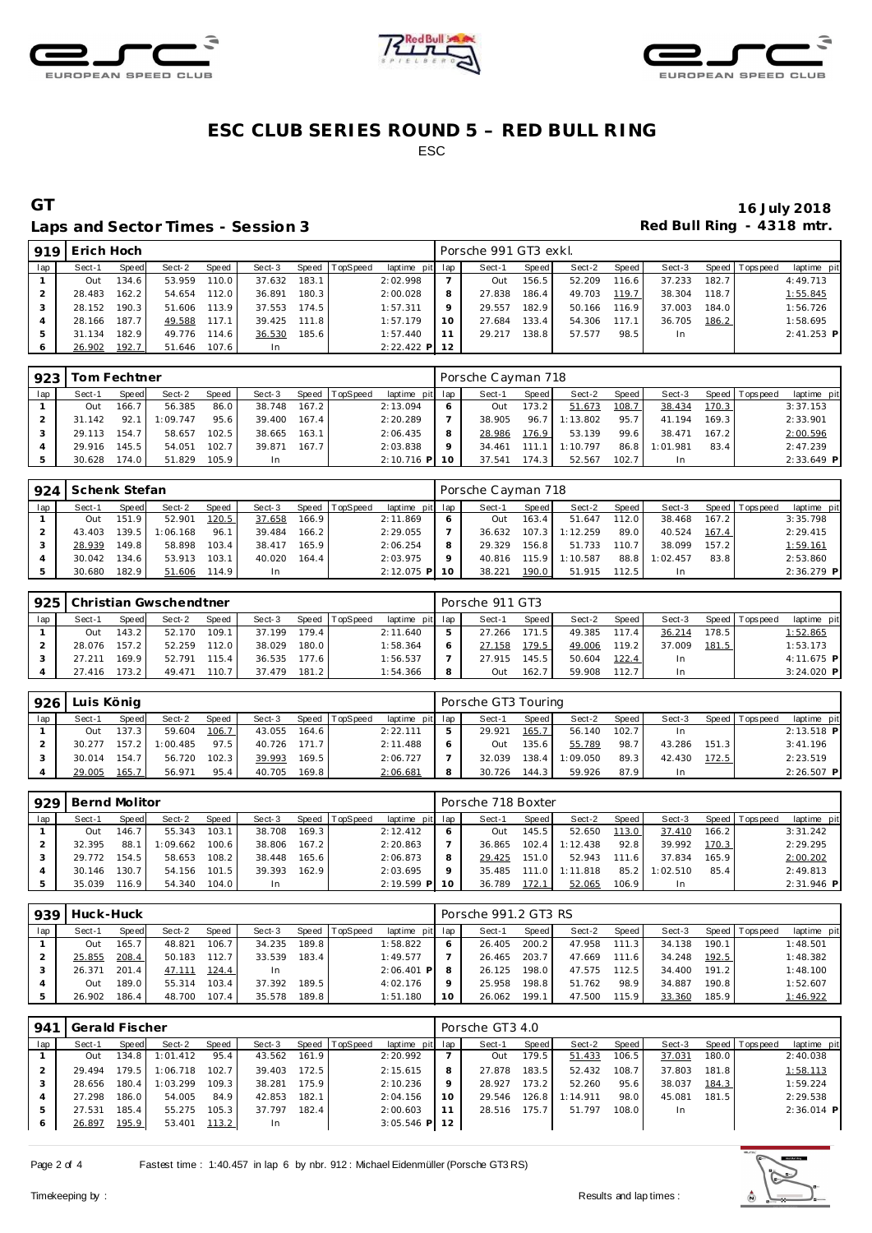





### Laps and Sector Times - Session 3 **Red Bull Ring - 4318 mtr.** And Sector Times - Session 3

| 919 | Erich Hoch |       |        |       |        |       |                |                 |    | Porsche 991 GT3 exkl. |       |        |       |        |       |                 |              |
|-----|------------|-------|--------|-------|--------|-------|----------------|-----------------|----|-----------------------|-------|--------|-------|--------|-------|-----------------|--------------|
| lap | Sect-1     | Speed | Sect-2 | Speed | Sect-3 |       | Speed TopSpeed | laptime pit lap |    | Sect-1                | Speed | Sect-2 | Speed | Sect-3 |       | Speed Tops peed | laptime pit  |
|     | Out        | 134.6 | 53.959 | 110.0 | 37.632 | 183.1 |                | 2:02.998        |    | Out                   | 156.5 | 52.209 | 116.6 | 37.233 | 182.7 |                 | 4:49.713     |
|     | 28.483     | 162.2 | 54.654 | 112.0 | 36.891 | 180.3 |                | 2:00.028        |    | 27.838                | 186.4 | 49.703 | 119.7 | 38.304 | 118.7 |                 | 1:55.845     |
|     | 28.152     | 190.3 | 51.606 | 113.9 | 37.553 | 174.5 |                | 1:57.311        |    | 29.557                | 182.9 | 50.166 | 116.9 | 37.003 | 184.0 |                 | 1:56.726     |
|     | 28.166     | 187.7 | 49.588 | 117.1 | 39.425 | 111.8 |                | 1:57.179        | 10 | 27.684                | 133.4 | 54.306 | 117.1 | 36.705 | 186.2 |                 | 1:58.695     |
|     | 31.134     | 182.9 | 49.776 | 114.6 | 36.530 | 185.6 |                | 1:57.440        |    | 29.217                | 138.8 | 57.577 | 98.5  | In.    |       |                 | $2:41.253$ P |
|     | 26.902     | 192.7 | 51.646 | 107.6 | In     |       |                | $2:22.422$ P 12 |    |                       |       |        |       |        |       |                 |              |

| 923 |        | Tom Fechtner |          |       |           |       |                |                 |         | Porsche Cayman 718 |       |          |       |           |       |                 |             |
|-----|--------|--------------|----------|-------|-----------|-------|----------------|-----------------|---------|--------------------|-------|----------|-------|-----------|-------|-----------------|-------------|
| lap | Sect-1 | Speed        | Sect-2   | Speed | Sect-3    |       | Speed TopSpeed | laptime pit lap |         | Sect-1             | Speed | Sect-2   | Speed | Sect-3    |       | Speed Tops peed | laptime pit |
|     | Out    | 166.7        | 56.385   | 86.0  | 38.748    | 167.2 |                | 2:13.094        |         | Out                | 173.2 | 51.673   | 108.7 | 38.434    | 170.3 |                 | 3:37.153    |
|     | 31.142 | 92.1         | 1:09.747 | 95.6  | 39.400    | 167.4 |                | 2:20.289        |         | 38.905             | 96.7  | 1:13.802 | 95.7  | 41.194    | 169.3 |                 | 2:33.901    |
|     | 29.113 | 154.7        | 58.657   | 102.5 | 38.665    | 163.1 |                | 2:06.435        | 8       | 28.986             | 176.9 | 53.139   | 99.6  | 38.471    | 167.2 |                 | 2:00.596    |
|     | 29.916 | 145.5        | 54.051   | 102.7 | 39.871    | 167.7 |                | 2:03.838        | $\circ$ | 34.461             | 111 1 | 1:10.797 | 86.8  | 1:01.981  | 83.4  |                 | 2:47.239    |
|     | 30.628 | 174.0        | 51.829   | 105.9 | <b>In</b> |       |                | $2:10.716$ P    | 10      | 37.541             | 174.3 | 52.567   | 102.7 | <b>In</b> |       |                 | 2:33.649 P  |

| 924 | Schenk Stefan |       |          |       |        |       |                |                 | Porsche Cayman 718 |       |          |       |          |       |                 |              |
|-----|---------------|-------|----------|-------|--------|-------|----------------|-----------------|--------------------|-------|----------|-------|----------|-------|-----------------|--------------|
| lap | Sect-1        | Speed | Sect-2   | Speed | Sect-3 |       | Speed TopSpeed | laptime pit lap | Sect-1             | Speed | Sect-2   | Speed | Sect-3   |       | Speed Tops peed | laptime pit  |
|     | Out           | 151.9 | 52.901   | 120.5 | 37.658 | 166.9 |                | 2:11.869        | Out                | 163.4 | 51.647   | 112.0 | 38.468   | 167.2 |                 | 3:35.798     |
|     | 43.403        | 139.5 | 1:06.168 | 96.1  | 39.484 | 166.2 |                | 2:29.055        | 36.632             | 107.3 | 1:12.259 | 89.0  | 40.524   | 167.4 |                 | 2:29.415     |
|     | 28.939        | 149.8 | 58.898   | 103.4 | 38.417 | 165.9 |                | 2:06.254        | 29.329             | 156.8 | 51.733   | 110.7 | 38.099   | 157.2 |                 | 1:59.161     |
|     | 30.042        | 134.6 | 53.913   | 103.1 | 40.020 | 164.4 |                | 2:03.975        | 40.816             | 115.9 | 1:10.587 | 88.8  | 1:02.457 | 83.8  |                 | 2:53.860     |
|     | 30.680        | 182.9 | 51.606   | 114.9 | In.    |       |                | 2:12.075 P      | 38.221             | 190.0 | 51.915   | 112.5 | In.      |       |                 | $2:36.279$ P |

| 925 |        |       | Christian Gwschendtner |       |        |       |          |                 |    | Porsche 911 GT3 |       |        |       |        |       |                 |              |
|-----|--------|-------|------------------------|-------|--------|-------|----------|-----------------|----|-----------------|-------|--------|-------|--------|-------|-----------------|--------------|
| lap | Sect-1 | Speed | Sect-2                 | Speed | Sect-3 | Speed | TopSpeed | laptime pit lap |    | Sect-1          | Speed | Sect-2 | Speed | Sect-3 |       | Speed Tops peed | laptime pit  |
|     | Out    | 143.2 | 52.170                 | 109.1 | 37.199 | 179.4 |          | 2:11.640        |    | 27.266          | 171.5 | 49.385 | 117.4 | 36.214 | 178.5 |                 | 1:52.865     |
|     | 28.076 | 157.2 | 52.259                 | 112.0 | 38.029 | 180.0 |          | 1:58.364        |    | 27.158          | 179.5 | 49.006 | 119.2 | 37.009 | 181.5 |                 | 1:53.173     |
|     | 27.211 | 169.9 | 52.791                 | 115.4 | 36.535 | 177.6 |          | 1:56.537        |    | 27.915          | 145.5 | 50.604 | 122.4 | In     |       |                 | $4:11.675$ P |
|     | 27.416 | 73.2  | 49.471                 | 110.7 | 37.479 | 181.2 |          | 1:54.366        | -8 | Out             | 162.7 | 59.908 | 112.7 | In     |       |                 | 3:24.020 P   |

| 926 | Luis König |       |          |       |        |       |                |                 |   | Porsche GT3 Touring |         |          |       |        |       |                 |              |
|-----|------------|-------|----------|-------|--------|-------|----------------|-----------------|---|---------------------|---------|----------|-------|--------|-------|-----------------|--------------|
| lap | Sect-1     | Speed | Sect-2   | Speed | Sect-3 |       | Speed TopSpeed | laptime pit lap |   | Sect-1              | Speed I | Sect-2   | Speed | Sect-3 |       | Speed Tops peed | laptime pit  |
|     | Out        | 137.3 | 59.604   | 106.7 | 43.055 | 164.6 |                | 2:22.111        | 5 | 29.921              | 165.7   | 56.140   | 102.7 | In     |       |                 | $2:13.518$ P |
|     | 30.277     | 157.2 | 1:00.485 | 97.5  | 40.726 | 171.7 |                | 2:11.488        | 6 | Out                 | 135.6   | 55.789   | 98.7  | 43.286 | 151.3 |                 | 3:41.196     |
|     | 30.014     | 154.7 | 56.720   | 102.3 | 39.993 | 169.5 |                | 2:06.727        |   | 32.039              | 138.4   | 1:09.050 | 89.3  | 42.430 | 172.5 |                 | 2:23.519     |
|     | 29.005     | 165.7 | 56.971   | 95.4  | 40.705 | 169.8 |                | 2:06.681        | 8 | 30.726              | 144.3   | 59.926   | 87.9  | In     |       |                 | 2:26.507 P   |

| 929 | Bernd Molitor |       |          |       |        |       |                  |              |     | Porsche 718 Boxter |         |          |       |          |       |                   |              |
|-----|---------------|-------|----------|-------|--------|-------|------------------|--------------|-----|--------------------|---------|----------|-------|----------|-------|-------------------|--------------|
| lap | Sect-1        | Speed | Sect-2   | Speed | Sect-3 |       | Speed   TopSpeed | laptime pit  | lap | Sect-1             | Speed   | Sect-2   | Speed | Sect-3   |       | Speed   Tops peed | laptime pit  |
|     | Out           | 146.7 | 55.343   | 103.1 | 38.708 | 169.3 |                  | 2:12.412     |     | Out                | 145.5   | 52.650   | 113.0 | 37.410   | 166.2 |                   | 3:31.242     |
|     | 32.395        | 88.1  | 1:09.662 | 100.6 | 38.806 | 167.2 |                  | 2:20.863     |     | 36.865             | 102.4   | 1:12.438 | 92.8  | 39.992   | 170.3 |                   | 2:29.295     |
|     | 29.772        | 154.5 | 58.653   | 108.2 | 38.448 | 165.6 |                  | 2:06.873     | 8   | 29.425             | 151.O I | 52.943   | 111.6 | 37.834   | 165.9 |                   | 2:00.202     |
|     | 30.146        | 130.7 | 54.156   | 101.5 | 39.393 | 162.9 |                  | 2:03.695     | Q   | 35.485             | 111.0   | 1:11.818 | 85.2  | : 02.510 | 85.4  |                   | 2:49.813     |
|     | 35.039        | 16.9  | 54.340   | 104.0 | In     |       |                  | $2:19.599$ P | 10  | 36.789             | 172.1   | 52.065   | 106.9 | In       |       |                   | $2:31.946$ P |

| 939 | Huck-Huck |       |        |       |        |       |          |                 | Porsche 991.2 GT3 RS |       |        |       |        |       |            |             |
|-----|-----------|-------|--------|-------|--------|-------|----------|-----------------|----------------------|-------|--------|-------|--------|-------|------------|-------------|
| lap | Sect-1    | Speed | Sect-2 | Speed | Sect-3 | Speed | TopSpeed | laptime pit lap | Sect-1               | Speed | Sect-2 | Speed | Sect-3 | Speed | T ops peed | laptime pit |
|     | Out       | 165.7 | 48.821 | 106.7 | 34.235 | 189.8 |          | 1:58.822        | 26.405               | 200.2 | 47.958 | 111.3 | 34.138 | 190.1 |            | 1:48.501    |
|     | 25.855    | 208.4 | 50.183 | 112.7 | 33.539 | 183.4 |          | 1:49.577        | 26.465               | 203.7 | 47.669 | 111.6 | 34.248 | 192.5 |            | 1:48.382    |
|     | 26.371    | 201.4 | 47.111 | 124.4 | In.    |       |          | $2:06.401$ P    | 26.125               | 198.0 | 47.575 | 112.5 | 34.400 | 191.2 |            | 1:48.100    |
|     | Out       | 189.0 | 55.314 | 103.4 | 37.392 | 189.5 |          | 4:02.176        | 25.958               | 198.8 | 51.762 | 98.9  | 34.887 | 190.8 |            | 1:52.607    |
|     | 26.902    | 186.4 | 48.700 | 107.4 | 35.578 | 189.8 |          | 1:51.180        | 26.062               | 199.1 | 47.500 | 115.9 | 33.360 | 185.9 |            | 1:46.922    |

| 941           | Gerald Fischer |        |          |       |        |       |                |                 | Porsche GT3 4.0 |       |          |         |           |       |                 |              |
|---------------|----------------|--------|----------|-------|--------|-------|----------------|-----------------|-----------------|-------|----------|---------|-----------|-------|-----------------|--------------|
| lap           | Sect-1         | Speed  | Sect-2   | Speed | Sect-3 |       | Speed TopSpeed | laptime pit lap | Sect-1          | Speed | Sect-2   | Speed I | Sect-3    |       | Speed Tops peed | laptime pit  |
|               | Out            | 134.8  | 1:01.412 | 95.4  | 43.562 | 161.9 |                | 2:20.992        | Out             | 179.5 | 51.433   | 106.5   | 37.031    | 180.0 |                 | 2:40.038     |
|               | 29.494         | 179.51 | 1:06.718 | 102.7 | 39.403 | 172.5 |                | 2:15.615        | 27.878          | 183.5 | 52.432   | 108.7   | 37.803    | 181.8 |                 | 1:58.113     |
|               | 28.656         | 180.4  | 1:03.299 | 109.3 | 38.281 | 175.9 |                | 2:10.236        | 28.927          | 173.2 | 52.260   | 95.6    | 38.037    | 184.3 |                 | 1:59.224     |
|               | 27.298         | 186.0  | 54.005   | 84.9  | 42.853 | 182.1 |                | 2:04.156        | 29.546          | 126.8 | 1:14.911 | 98.0    | 45.081    | 181.5 |                 | 2:29.538     |
| $\mathcal{D}$ | 27.531         | 185.4  | 55.275   | 105.3 | 37.797 | 182.4 |                | 2:00.603        | 28.516          | 175.7 | 51.797   | 108.0   | <b>In</b> |       |                 | $2:36.014$ P |
| O             | 26.897         | 195.9  | 53.401   | 113.2 | -In    |       |                | $3:05.546$ P    |                 |       |          |         |           |       |                 |              |

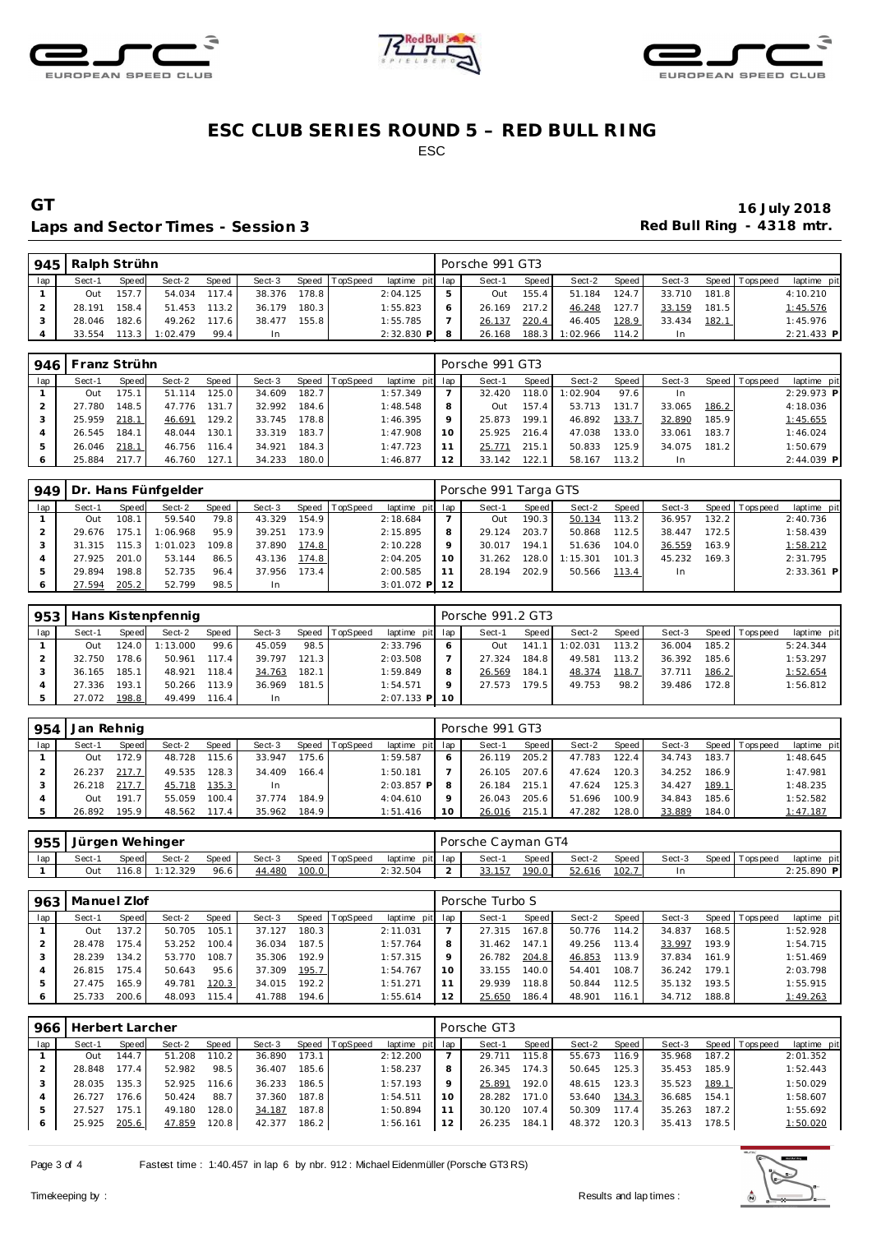





### Laps and Sector Times - Session 3 **Red Bull Ring - 4318 mtr.** And Sector Times - Session 3

|     | 945   Ralph Strühn |       |                |       |        |       |                |                 |    | Porsche 991 GT3 |       |                |         |        |         |                 |              |
|-----|--------------------|-------|----------------|-------|--------|-------|----------------|-----------------|----|-----------------|-------|----------------|---------|--------|---------|-----------------|--------------|
| lap | Sect-1             | Speed | Sect-2         | Speed | Sect-3 |       | Speed TopSpeed | laptime pit lap |    | Sect-1          | Speed | Sect-2         | Speed I | Sect-3 |         | Speed Tops peed | laptime pit  |
|     | Out                | 157.7 | 54.034 117.4   |       | 38.376 | 178.8 |                | 2:04.125        |    | Out             | 155.4 | 51.184         | 124.7   | 33.710 | 181.8 l |                 | 4:10.210     |
|     | 28.191             | 158.4 | 51.453 113.2   |       | 36.179 | 180.3 |                | 1:55.823        |    | 26.169 217.2    |       | 46.248         | 127.7   | 33.159 | 181.5   |                 | 1:45.576     |
|     | 28.046             | 182.6 | 49.262 117.6   |       | 38.477 | 155.8 |                | 1:55.785        |    | 26.137          | 220.4 | 46.405         | 128.9   | 33.434 | 182.1   |                 | 1:45.976     |
|     | 33.554             |       | 113.3 1:02.479 | 99.4  | In     |       |                | $2:32.830$ P    | -8 | 26.168          |       | 188.3 1:02.966 | 114.2   |        |         |                 | $2:21.433$ P |

|     | 946   Franz Strühn |       |        |       |        |       |                |                 |    | Porsche 991 GT3 |       |          |       |        |       |                |              |
|-----|--------------------|-------|--------|-------|--------|-------|----------------|-----------------|----|-----------------|-------|----------|-------|--------|-------|----------------|--------------|
| lap | Sect-1             | Speed | Sect-2 | Speed | Sect-3 |       | Speed TopSpeed | laptime pit lap |    | Sect-1          | Speed | Sect-2   | Speed | Sect-3 |       | Speed Topspeed | laptime pit  |
|     | Out                | 175.  | 51.114 | 125.0 | 34.609 | 182.7 |                | 1:57.349        |    | 32.420          | 118.0 | 1:02.904 | 97.6  | In.    |       |                | 2:29.973 P   |
|     | 27.780             | 148.5 | 47.776 | 131.7 | 32.992 | 184.6 |                | 1:48.548        | 8  | Out             | 157.4 | 53.713   | 131.7 | 33.065 | 186.2 |                | 4:18.036     |
|     | 25.959             | 218.1 | 46.691 | 129.2 | 33.745 | 178.8 |                | 1:46.395        | Q  | 25.873          | 199.1 | 46.892   | 133.7 | 32.890 | 185.9 |                | 1:45.655     |
|     | 26.545             | 184.1 | 48.044 | 130.1 | 33.319 | 183.7 |                | 1:47.908        | 10 | 25.925          | 216.4 | 47.038   | 133.0 | 33.061 | 183.7 |                | 1:46.024     |
|     | 26.046             | 218.1 | 46.756 | 116.4 | 34.921 | 184.3 |                | 1:47.723        |    | 25.771          | 215.1 | 50.833   | 125.9 | 34.075 | 181.2 |                | 1:50.679     |
|     | 25.884             | 217.7 | 46.760 | 127.1 | 34.233 | 180.0 |                | 1:46.877        | 12 | 33.142          | 122.1 | 58.167   | 113.2 | In.    |       |                | $2:44.039$ P |

| 949 |        |         | Dr. Hans Fünfgelder |       |        |       |                |                 |         | Porsche 991 Targa GTS |       |          |       |        |       |                |              |
|-----|--------|---------|---------------------|-------|--------|-------|----------------|-----------------|---------|-----------------------|-------|----------|-------|--------|-------|----------------|--------------|
| lap | Sect-1 | Speed   | Sect-2              | Speed | Sect-3 |       | Speed TopSpeed | laptime pit lap |         | Sect-1                | Speed | Sect-2   | Speed | Sect-3 |       | Speed Topspeed | laptime pit  |
|     | Out    | 108.1   | 59.540              | 79.8  | 43.329 | 154.9 |                | 2:18.684        |         | Out                   | 190.3 | 50.134   | 113.2 | 36.957 | 132.2 |                | 2:40.736     |
|     | 29.676 | 175.1   | 1:06.968            | 95.9  | 39.251 | 173.9 |                | 2:15.895        | 8       | 29.124                | 203.7 | 50.868   | 112.5 | 38.447 | 172.5 |                | 1:58.439     |
|     | 31.315 | $115.3$ | 1:01.023            | 109.8 | 37.890 | 174.8 |                | 2:10.228        | $\circ$ | 30.017                | 194.1 | 51.636   | 104.0 | 36.559 | 163.9 |                | 1:58.212     |
|     | 27.925 | 201.0   | 53.144              | 86.5  | 43.136 | 174.8 |                | 2:04.205        | 10      | 31.262                | 128.0 | 1:15.301 | 101.3 | 45.232 | 169.3 |                | 2:31.795     |
|     | 29.894 | 198.8   | 52.735              | 96.4  | 37.956 | 173.4 |                | 2:00.585        | 11      | 28.194                | 202.9 | 50.566   | 113.4 | In.    |       |                | $2:33.361$ P |
|     | 27.594 | 205.2   | 52.799              | 98.5  | -In    |       |                | $3:01.072$ P 12 |         |                       |       |          |       |        |       |                |              |

|     |        |         | 953   Hans Kistenpfennig |       |        |       |          |                 |    | Porsche 991.2 GT3 |       |          |         |        |       |                |             |
|-----|--------|---------|--------------------------|-------|--------|-------|----------|-----------------|----|-------------------|-------|----------|---------|--------|-------|----------------|-------------|
| lap | Sect-1 | Speed   | Sect-2                   | Speed | Sect-3 | Speed | TopSpeed | laptime pit lap |    | Sect-1            | Speed | Sect-2   | Speed I | Sect-3 |       | Speed Topspeed | laptime pit |
|     | Out    | 124.O I | 1:13.000                 | 99.6  | 45.059 | 98.5  |          | 2:33.796        |    | Out               | 141   | 1:02.031 | 113.2   | 36.004 | 185.2 |                | 5:24.344    |
|     | 32.750 | 178.6   | 50.961                   | 117.4 | 39.797 | 121.3 |          | 2:03.508        |    | 27.324            | 184.8 | 49.581   | 113.2   | 36.392 | 185.6 |                | 1:53.297    |
|     | 36.165 | 185.1   | 48.921                   | 118.4 | 34.763 | 182.1 |          | 1:59.849        |    | 26.569            | 184.1 | 48.374   | 118.7   | 37.711 | 186.2 |                | 1:52.654    |
|     | 27.336 | 193.1   | 50.266                   | 113.9 | 36.969 | 181.5 |          | 1:54.571        |    | 27.573            | 179.5 | 49.753   | 98.2    | 39.486 | 172.8 |                | 1:56.812    |
|     | 27.072 | 198.8   | 49.499                   | 116.4 | In     |       |          | $2:07.133$ P    | 10 |                   |       |          |         |        |       |                |             |

| 954 | Jan Rehnig |       |        |       |           |       |          |                 |    | Porsche 991 GT3 |       |        |       |        |       |                |             |
|-----|------------|-------|--------|-------|-----------|-------|----------|-----------------|----|-----------------|-------|--------|-------|--------|-------|----------------|-------------|
| lap | Sect-1     | Speed | Sect-2 | Speed | Sect-3    | Speed | TopSpeed | laptime pit lap |    | Sect-1          | Speed | Sect-2 | Speed | Sect-3 |       | Speed Topspeed | laptime pit |
|     | Out        | 172.9 | 48.728 | 115.6 | 33.947    | 175.6 |          | 1:59.587        |    | 26.119          | 205.2 | 47.783 | 122.4 | 34.743 | 183.7 |                | 1:48.645    |
|     | 26.237     | 217.7 | 49.535 | 128.3 | 34.409    | 166.4 |          | 1:50.181        |    | 26.105          | 207.6 | 47.624 | 120.3 | 34.252 | 186.9 |                | 1:47.981    |
|     | 26.218     | 217.7 | 45.718 | 135.3 | <b>In</b> |       |          | $2:03.857$ P    | -8 | 26.184          | 215.1 | 47.624 | 125.3 | 34.427 | 189.1 |                | 1:48.235    |
|     | Out        | 191.7 | 55.059 | 100.4 | 37.774    | 184.9 |          | 4:04.610        |    | 26.043          | 205.6 | 51.696 | 100.9 | 34.843 | 185.6 |                | 1:52.582    |
|     | 26.892     | 195.9 | 48.562 | 117.4 | 35.962    | 184.9 |          | 1:51.416        | 10 | 26.016          | 215.1 | 47.282 | 128.0 | 33.889 | 184.0 |                | 1:47.187    |

| 955 | Jürgen Wehinger |              |                |       |        |       |                |                 | Porsche Cayman GT4 |       |        |       |        |                 |                |
|-----|-----------------|--------------|----------------|-------|--------|-------|----------------|-----------------|--------------------|-------|--------|-------|--------|-----------------|----------------|
| lap | Sect-1          | <b>Speed</b> | Sect-2         | Speed | Sect-3 |       | Speed TopSpeed | laptime pit lap | Sect-1             | Speed | Sect-2 | Speed | Sect-3 | Speed Tops peed | pit<br>laptime |
|     | Jut             |              | 116.8 1:12.329 | 96.6  | 44.480 | 100.0 |                | 2:32.504        | <u>.</u>           | 190.0 | 52.616 | 102.7 |        |                 | 2:25.890 P     |

| 963 | Manuel Zlof |       |        |       |        |       |          |                 |    | Porsche Turbo S |       |        |       |        |       |                |             |
|-----|-------------|-------|--------|-------|--------|-------|----------|-----------------|----|-----------------|-------|--------|-------|--------|-------|----------------|-------------|
| lap | Sect-1      | Speed | Sect-2 | Speed | Sect-3 | Speed | TopSpeed | laptime pit lap |    | Sect-1          | Speed | Sect-2 | Speed | Sect-3 |       | Speed Topspeed | laptime pit |
|     | Out         | 137.2 | 50.705 | 105.1 | 37.127 | 180.3 |          | 2:11.031        |    | 27.315          | 167.8 | 50.776 | 114.2 | 34.837 | 168.5 |                | 1:52.928    |
|     | 28.478      | 175.4 | 53.252 | 100.4 | 36.034 | 187.5 |          | 1:57.764        |    | 31.462          | 147.1 | 49.256 | 113.4 | 33.997 | 193.9 |                | 1:54.715    |
|     | 28.239      | 134.2 | 53.770 | 108.7 | 35.306 | 192.9 |          | 1:57.315        |    | 26.782          | 204.8 | 46.853 | 113.9 | 37.834 | 161.9 |                | 1:51.469    |
|     | 26.815      | 175.4 | 50.643 | 95.6  | 37.309 | 195.7 |          | 1:54.767        | 10 | 33.155          | 140.0 | 54.401 | 108.7 | 36.242 | 179.1 |                | 2:03.798    |
|     | 27.475      | 165.9 | 49.781 | 120.3 | 34.015 | 192.2 |          | 1:51.271        |    | 29.939          | 118.8 | 50.844 | 112.5 | 35.132 | 193.5 |                | 1:55.915    |
|     | 25.733      | 200.6 | 48.093 | 115.4 | 41.788 | 194.6 |          | 1:55.614        |    | 25.650          | 186.4 | 48.901 | 116.1 | 34.712 | 188.8 |                | 1:49.263    |

| 966 | Herbert Larcher |       |        |       |        |       |                |                 |   | Porsche GT3 |                    |        |       |        |       |                   |             |
|-----|-----------------|-------|--------|-------|--------|-------|----------------|-----------------|---|-------------|--------------------|--------|-------|--------|-------|-------------------|-------------|
| lap | Sect-1          | Speed | Sect-2 | Speed | Sect-3 |       | Speed TopSpeed | laptime pit lap |   | Sect-1      | Speed              | Sect-2 | Speed | Sect-3 |       | Speed   Tops peed | laptime pit |
|     | Out             | 144.7 | 51.208 | 110.2 | 36.890 | 173.1 |                | 2:12.200        |   | 29.711      | 115.8 <sub>1</sub> | 55.673 | 116.9 | 35.968 | 187.2 |                   | 2:01.352    |
|     | 28.848          | 177.4 | 52.982 | 98.5  | 36.407 | 185.6 |                | 1:58.237        | 8 | 26.345      | 174.3              | 50.645 | 125.3 | 35.453 | 185.9 |                   | 1:52.443    |
|     | 28.035          | 135.3 | 52.925 | 116.6 | 36.233 | 186.5 |                | 1:57.193        |   | 25.891      | 192.0              | 48.615 | 123.3 | 35.523 | 189.1 |                   | 1:50.029    |
|     | 26.727          | 176.6 | 50.424 | 88.7  | 37.360 | 187.8 |                | 1:54.511        |   | 28.282      | 171.0              | 53.640 | 134.3 | 36.685 | 154.1 |                   | 1:58.607    |
|     | 27.527          | 175.1 | 49.180 | 128.0 | 34.187 | 187.8 |                | 1:50.894        |   | 30.120      | 107.4              | 50.309 | 117.4 | 35.263 | 187.2 |                   | 1:55.692    |
|     | 25.925          | 205.6 | 47.859 | 120.8 | 42.377 | 186.2 |                | 1:56.161        |   | 26.235      | 184.1              | 48.372 | 120.3 | 35.413 | 178.5 |                   | 1:50.020    |